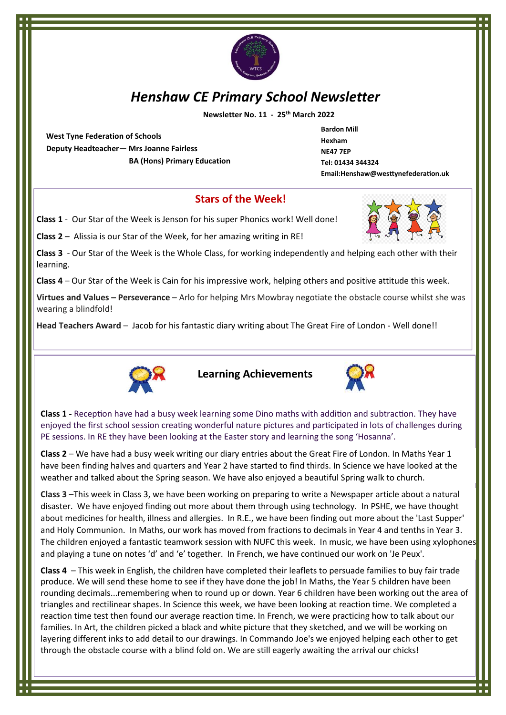

# *Henshaw CE Primary School Newsletter*

 **Newsletter No. 11 - 25th March 2022**

**West Tyne Federation of Schools Deputy Headteacher— Mrs Joanne Fairless BA (Hons) Primary Education**

**Bardon Mill Hexham NE47 7EP Tel: 01434 344324 Email:Henshaw@westtynefederation.uk**

#### **Stars of the Week!**

**Class 1** - Our Star of the Week is Jenson for his super Phonics work! Well done!

**Class 2** – Alissia is our Star of the Week, for her amazing writing in RE!

**Class 3** - Our Star of the Week is the Whole Class, for working independently and helping each other with their learning.

**Class 4** – Our Star of the Week is Cain for his impressive work, helping others and positive attitude this week.

**Virtues and Values – Perseverance** – Arlo for helping Mrs Mowbray negotiate the obstacle course whilst she was wearing a blindfold!

**Head Teachers Award** – Jacob for his fantastic diary writing about The Great Fire of London - Well done!!



**Learning Achievements**



**Class 1 -** Reception have had a busy week learning some Dino maths with addition and subtraction. They have enjoyed the first school session creating wonderful nature pictures and participated in lots of challenges during PE sessions. In RE they have been looking at the Easter story and learning the song 'Hosanna'.

**Class 2** – We have had a busy week writing our diary entries about the Great Fire of London. In Maths Year 1 have been finding halves and quarters and Year 2 have started to find thirds. In Science we have looked at the weather and talked about the Spring season. We have also enjoyed a beautiful Spring walk to church.

**Class 3** –This week in Class 3, we have been working on preparing to write a Newspaper article about a natural disaster. We have enjoyed finding out more about them through using technology. In PSHE, we have thought about medicines for health, illness and allergies. In R.E., we have been finding out more about the 'Last Supper' and Holy Communion. In Maths, our work has moved from fractions to decimals in Year 4 and tenths in Year 3. The children enjoyed a fantastic teamwork session with NUFC this week. In music, we have been using xylophones and playing a tune on notes 'd' and 'e' together. In French, we have continued our work on 'Je Peux'.

**Class 4** – This week in English, the children have completed their leaflets to persuade families to buy fair trade produce. We will send these home to see if they have done the job! In Maths, the Year 5 children have been rounding decimals...remembering when to round up or down. Year 6 children have been working out the area of triangles and rectilinear shapes. In Science this week, we have been looking at reaction time. We completed a reaction time test then found our average reaction time. In French, we were practicing how to talk about our families. In Art, the children picked a black and white picture that they sketched, and we will be working on layering different inks to add detail to our drawings. In Commando Joe's we enjoyed helping each other to get through the obstacle course with a blind fold on. We are still eagerly awaiting the arrival our chicks!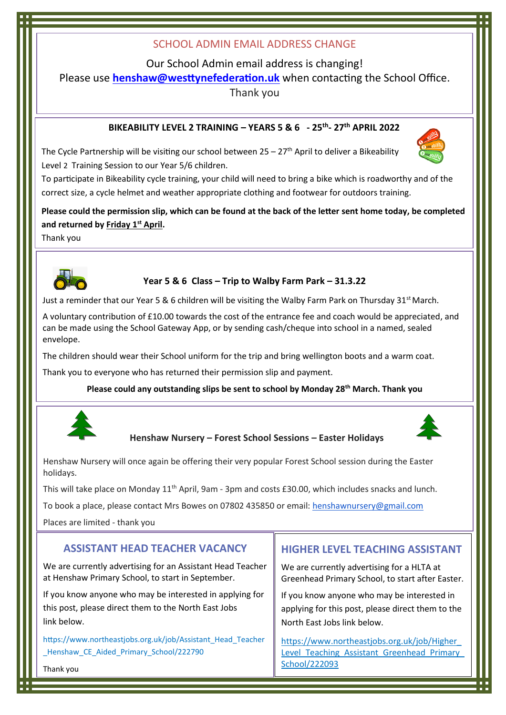# SCHOOL ADMIN EMAIL ADDRESS CHANGE

Our School Admin email address is changing!

Please use **[henshaw@westtynefederation.uk](mailto:henshaw@westtynefederation.uk)** when contacting the School Office.

Thank you

#### **BIKEABILITY LEVEL 2 TRAINING – YEARS 5 & 6 - 25th - 27th APRIL 2022**

The Cycle Partnership will be visiting our school between  $25 - 27$ <sup>th</sup> April to deliver a Bikeability Level 2 Training Session to our Year 5/6 children.



To participate in Bikeability cycle training, your child will need to bring a bike which is roadworthy and of the correct size, a cycle helmet and weather appropriate clothing and footwear for outdoors training.

# **Please could the permission slip, which can be found at the back of the letter sent home today, be completed and returned by Friday 1st April.**

Thank you



# **Year 5 & 6 Class – Trip to Walby Farm Park – 31.3.22**

Just a reminder that our Year 5 & 6 children will be visiting the Walby Farm Park on Thursday 31st March.

A voluntary contribution of £10.00 towards the cost of the entrance fee and coach would be appreciated, and can be made using the School Gateway App, or by sending cash/cheque into school in a named, sealed envelope.

The children should wear their School uniform for the trip and bring wellington boots and a warm coat.

Thank you to everyone who has returned their permission slip and payment.

**Please could any outstanding slips be sent to school by Monday 28th March. Thank you**



#### **Henshaw Nursery – Forest School Sessions – Easter Holidays**



Henshaw Nursery will once again be offering their very popular Forest School session during the Easter holidays.

This will take place on Monday  $11<sup>th</sup>$  April, 9am - 3pm and costs £30.00, which includes snacks and lunch.

To book a place, please contact Mrs Bowes on 07802 435850 or email: [henshawnursery@gmail.com](mailto:henshawnursery@gmail.com)

Places are limited - thank you

# **ASSISTANT HEAD TEACHER VACANCY**

We are currently advertising for an Assistant Head Teacher at Henshaw Primary School, to start in September.

If you know anyone who may be interested in applying for this post, please direct them to the North East Jobs link below.

https://www.northeastjobs.org.uk/job/Assistant\_Head\_Teacher Henshaw CE Aided Primary School/222790

# **HIGHER LEVEL TEACHING ASSISTANT**

We are currently advertising for a HLTA at Greenhead Primary School, to start after Easter.

If you know anyone who may be interested in applying for this post, please direct them to the North East Jobs link below.

[https://www.northeastjobs.org.uk/job/Higher\\_](https://www.northeastjobs.org.uk/job/Higher_Level_Teaching_Assistant_Greenhead_Primary_School/222093) Level Teaching Assistant Greenhead Primary [School/222093](https://www.northeastjobs.org.uk/job/Higher_Level_Teaching_Assistant_Greenhead_Primary_School/222093)

Thank you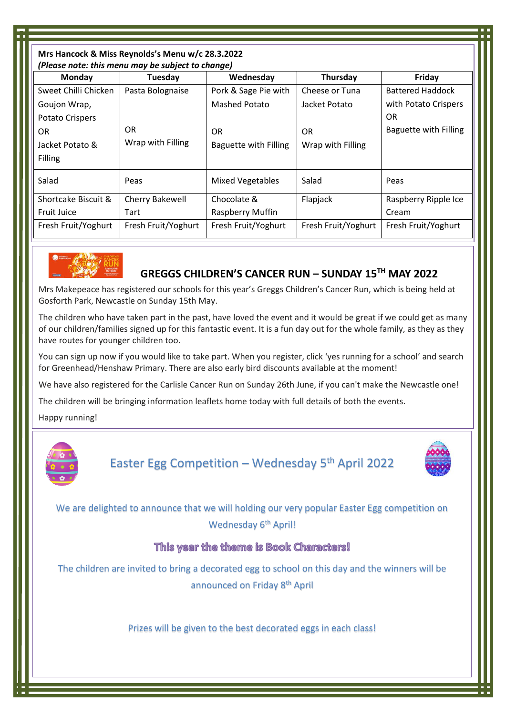| Mrs Hancock & Miss Reynolds's Menu w/c 28.3.2022  |                     |                         |                     |                         |  |
|---------------------------------------------------|---------------------|-------------------------|---------------------|-------------------------|--|
| (Please note: this menu may be subject to change) |                     |                         |                     |                         |  |
| Monday                                            | Tuesday             | Wednesday               | Thursday            | Friday                  |  |
| Sweet Chilli Chicken                              | Pasta Bolognaise    | Pork & Sage Pie with    | Cheese or Tuna      | <b>Battered Haddock</b> |  |
| Goujon Wrap,                                      |                     | <b>Mashed Potato</b>    | Jacket Potato       | with Potato Crispers    |  |
| Potato Crispers                                   |                     |                         |                     | OR                      |  |
| 0R                                                | OR                  | OR.                     | <b>OR</b>           | Baguette with Filling   |  |
| Jacket Potato &                                   | Wrap with Filling   | Baguette with Filling   | Wrap with Filling   |                         |  |
| Filling                                           |                     |                         |                     |                         |  |
| Salad                                             | Peas                | <b>Mixed Vegetables</b> | Salad               | Peas                    |  |
| Shortcake Biscuit &                               | Cherry Bakewell     | Chocolate &             | Flapjack            | Raspberry Ripple Ice    |  |
| <b>Fruit Juice</b>                                | Tart                | Raspberry Muffin        |                     | Cream                   |  |
| Fresh Fruit/Yoghurt                               | Fresh Fruit/Yoghurt | Fresh Fruit/Yoghurt     | Fresh Fruit/Yoghurt | Fresh Fruit/Yoghurt     |  |



# **GREGGS CHILDREN'S CANCER RUN – SUNDAY 15TH MAY 2022**

Mrs Makepeace has registered our schools for this year's Greggs Children's Cancer Run, which is being held at Gosforth Park, Newcastle on Sunday 15th May.

The children who have taken part in the past, have loved the event and it would be great if we could get as many of our children/families signed up for this fantastic event. It is a fun day out for the whole family, as they as they have routes for younger children too.

You can sign up now if you would like to take part. When you register, click 'yes running for a school' and search for Greenhead/Henshaw Primary. There are also early bird discounts available at the moment!

We have also registered for the Carlisle Cancer Run on Sunday 26th June, if you can't make the Newcastle one!

The children will be bringing information leaflets home today with full details of both the events.

Happy running!



Easter Egg Competition - Wednesday 5<sup>th</sup> April 2022



We are delighted to announce that we will holding our very popular Easter Egg competition on Wednesday 6<sup>th</sup> April!

#### This year the theme is Book Characters!

The children are invited to bring a decorated egg to school on this day and the winners will be announced on Friday 8th April

Prizes will be given to the best decorated eggs in each class!